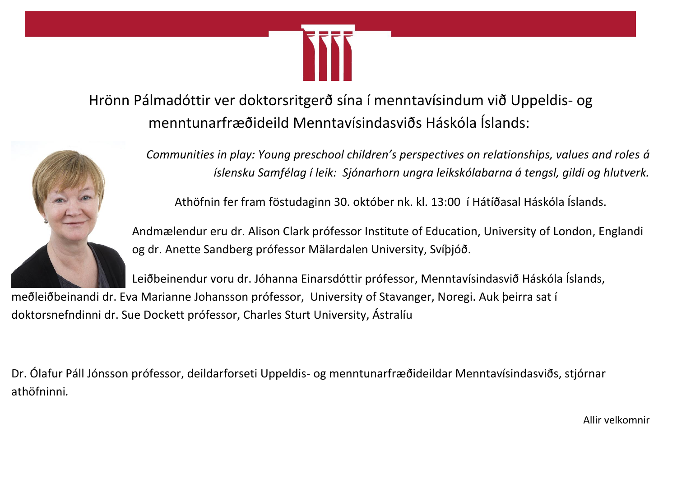

Hrönn Pálmadóttir ver doktorsritgerð sína í menntavísindum við Uppeldis- og menntunarfræðideild Menntavísindasviðs Háskóla Íslands:



*Communities in play: Young preschool children's perspectives on relationships, values and roles á íslensku Samfélag í leik: Sjónarhorn ungra leikskólabarna á tengsl, gildi og hlutverk.*

Athöfnin fer fram föstudaginn 30. október nk. kl. 13:00 í Hátíðasal Háskóla Íslands.

Andmælendur eru dr. Alison Clark prófessor Institute of Education, University of London, Englandi og dr. Anette Sandberg prófessor Mälardalen University, Svíþjóð.

Leiðbeinendur voru dr. Jóhanna Einarsdóttir prófessor, Menntavísindasvið Háskóla Íslands,

meðleiðbeinandi dr. Eva Marianne Johansson prófessor, University of Stavanger, Noregi. Auk þeirra sat í doktorsnefndinni dr. Sue Dockett prófessor, Charles Sturt University, Ástralíu

Dr. Ólafur Páll Jónsson prófessor, deildarforseti Uppeldis- og menntunarfræðideildar Menntavísindasviðs, stjórnar athöfninni*.*

Allir velkomnir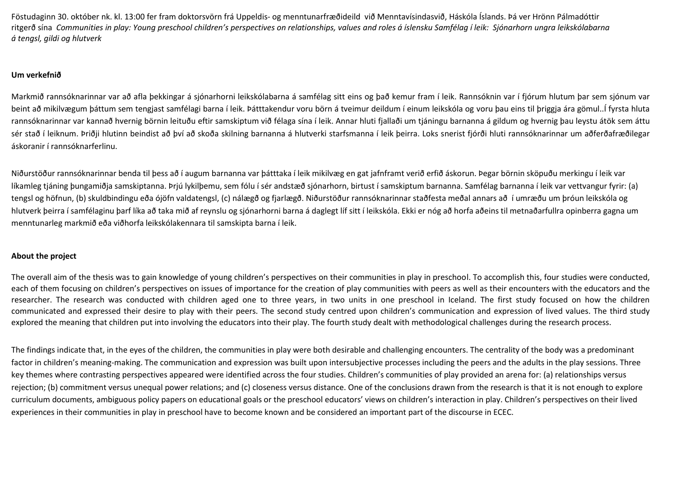Föstudaginn 30. október nk. kl. 13:00 fer fram doktorsvörn frá Uppeldis- og menntunarfræðideild við Menntavísindasvið, Háskóla Íslands. Þá ver Hrönn Pálmadóttir ritgerð sína *Communities in play: Young preschool children's perspectives on relationships, values and roles á íslensku Samfélag í leik: Sjónarhorn ungra leikskólabarna á tengsl, gildi og hlutverk*

## **Um verkefnið**

Markmið rannsóknarinnar var að afla þekkingar á sjónarhorni leikskólabarna á samfélag sitt eins og það kemur fram í leik. Rannsóknin var í fjórum hlutum þar sem sjónum var beint að mikilvægum þáttum sem tengjast samfélagi barna í leik. Þátttakendur voru börn á tveimur deildum í einum leikskóla og voru þau eins til þriggja ára gömul..Í fyrsta hluta rannsóknarinnar var kannað hvernig börnin leituðu eftir samskiptum við félaga sína í leik. Annar hluti fjallaði um tjáningu barnanna á gildum og hvernig þau leystu átök sem áttu sér stað í leiknum. Þriðji hlutinn beindist að því að skoða skilning barnanna á hlutverki starfsmanna í leik þeirra. Loks snerist fjórði hluti rannsóknarinnar um aðferðafræðilegar áskoranir í rannsóknarferlinu.

Niðurstöður rannsóknarinnar benda til þess að í augum barnanna var þátttaka í leik mikilvæg en gat jafnframt verið erfið áskorun. Þegar börnin sköpuðu merkingu í leik var líkamleg tjáning þungamiðja samskiptanna. Þrjú lykilþemu, sem fólu í sér andstæð sjónarhorn, birtust í samskiptum barnanna. Samfélag barnanna í leik var vettvangur fyrir: (a) tengsl og höfnun, (b) skuldbindingu eða ójöfn valdatengsl, (c) nálægð og fjarlægð. Niðurstöður rannsóknarinnar staðfesta meðal annars að í umræðu um þróun leikskóla og hlutverk þeirra í samfélaginu þarf líka að taka mið af reynslu og sjónarhorni barna á daglegt líf sitt í leikskóla. Ekki er nóg að horfa aðeins til metnaðarfullra opinberra gagna um menntunarleg markmið eða viðhorfa leikskólakennara til samskipta barna í leik.

## **About the project**

The overall aim of the thesis was to gain knowledge of young children's perspectives on their communities in play in preschool. To accomplish this, four studies were conducted, each of them focusing on children's perspectives on issues of importance for the creation of play communities with peers as well as their encounters with the educators and the researcher. The research was conducted with children aged one to three years, in two units in one preschool in Iceland. The first study focused on how the children communicated and expressed their desire to play with their peers. The second study centred upon children's communication and expression of lived values. The third study explored the meaning that children put into involving the educators into their play. The fourth study dealt with methodological challenges during the research process.

The findings indicate that, in the eyes of the children, the communities in play were both desirable and challenging encounters. The centrality of the body was a predominant factor in children's meaning-making. The communication and expression was built upon intersubjective processes including the peers and the adults in the play sessions. Three key themes where contrasting perspectives appeared were identified across the four studies. Children's communities of play provided an arena for: (a) relationships versus rejection; (b) commitment versus unequal power relations; and (c) closeness versus distance. One of the conclusions drawn from the research is that it is not enough to explore curriculum documents, ambiguous policy papers on educational goals or the preschool educators' views on children's interaction in play. Children's perspectives on their lived experiences in their communities in play in preschool have to become known and be considered an important part of the discourse in ECEC.